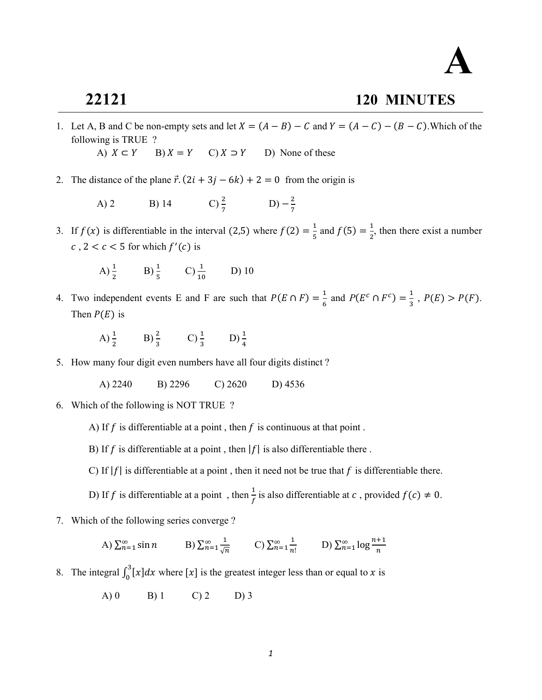## A

## 22121 120 MINUTES

1. Let A, B and C be non-empty sets and let  $X = (A - B) - C$  and  $Y = (A - C) - (B - C)$ . Which of the following is TRUE ?

A)  $X \subset Y$  B)  $X = Y$  C)  $X \supset Y$  D) None of these

2. The distance of the plane  $\vec{r} \cdot (2i + 3j - 6k) + 2 = 0$  from the origin is

A) 2 \tB) 14 \tC) 
$$
\frac{2}{7}
$$
 \tD)  $-\frac{2}{7}$ 

3. If  $f(x)$  is differentiable in the interval (2,5) where  $f(2) = \frac{1}{f}$  $\frac{1}{5}$  and  $f(5) = \frac{1}{25}$  $\frac{1}{2}$ , then there exist a number c,  $2 < c < 5$  for which  $f'(c)$  is

A) 
$$
\frac{1}{2}
$$
 \tB)  $\frac{1}{5}$  \tC)  $\frac{1}{10}$  \tD) 10

4. Two independent events E and F are such that  $P(E \cap F) = \frac{1}{6}$  $\frac{1}{6}$  and  $P(E^c \cap F^c) = \frac{1}{3}$  $\frac{1}{3}$ ,  $P(E) > P(F)$ . Then  $P(E)$  is

A) 
$$
\frac{1}{2}
$$
 \tB)  $\frac{2}{3}$  \tC)  $\frac{1}{3}$  \tD)  $\frac{1}{4}$ 

5. How many four digit even numbers have all four digits distinct ?

A) 2240 B) 2296 C) 2620 D) 4536

- 6. Which of the following is NOT TRUE ?
	- A) If  $f$  is differentiable at a point, then  $f$  is continuous at that point.
	- B) If f is differentiable at a point, then  $|f|$  is also differentiable there.
	- C) If  $|f|$  is differentiable at a point, then it need not be true that  $f$  is differentiable there.
	- D) If f is differentiable at a point, then  $\frac{1}{f}$  is also differentiable at c, provided  $f(c) \neq 0$ .
- 7. Which of the following series converge ?

A)  $\sum_{n=1}^{\infty} \sin n$  B)  $\sum_{n=1}^{\infty} \frac{1}{\sqrt{n}}$  $\sqrt{n}$  $\sum_{n=1}^{\infty} \frac{1}{\sqrt{n}}$  C)  $\sum_{n=1}^{\infty} \frac{1}{n!}$ n!  $\sum_{n=1}^{\infty} \frac{1}{n!}$  D)  $\sum_{n=1}^{\infty} \log \frac{n+1}{n}$  $\sum_{n=1}^{\infty}$ 

- 8. The integral  $\int_0^3 [x] dx$  where [x] is the greatest integer less than or equal to x is
	- A) 0 B) 1 C) 2 D) 3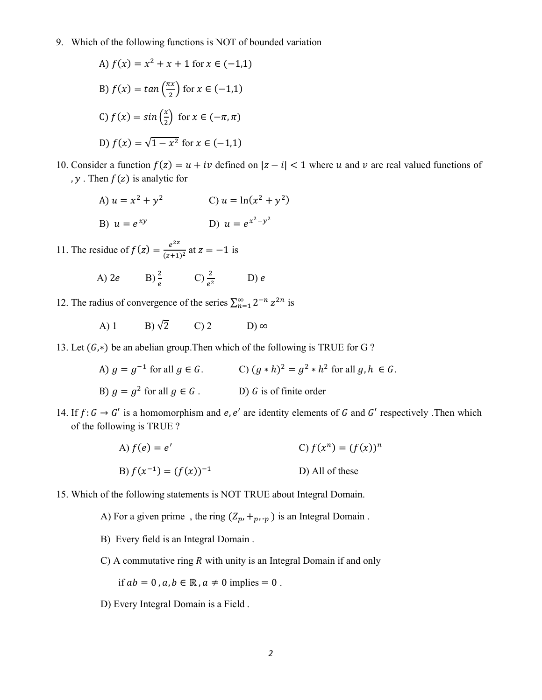9. Which of the following functions is NOT of bounded variation

A) 
$$
f(x) = x^2 + x + 1
$$
 for  $x \in (-1,1)$   
\nB)  $f(x) = \tan(\frac{\pi x}{2})$  for  $x \in (-1,1)$   
\nC)  $f(x) = \sin(\frac{x}{2})$  for  $x \in (-\pi, \pi)$   
\nD)  $f(x) = \sqrt{1 - x^2}$  for  $x \in (-1,1)$ 

10. Consider a function  $f(z) = u + iv$  defined on  $|z - i| < 1$  where u and v are real valued functions of ,  $y$ . Then  $f(z)$  is analytic for

A) 
$$
u = x^2 + y^2
$$
  
\nB)  $u = e^{xy}$   
\nC)  $u = \ln(x^2 + y^2)$   
\nD)  $u = e^{x^2 - y^2}$ 

11. The residue of  $f(z) = \frac{e^{2z}}{(z+1)^2}$  $\frac{e^{2z}}{(z+1)^2}$  at  $z = -1$  is

A) 
$$
2e
$$
 \t\t B)  $\frac{2}{e}$  \t\t C)  $\frac{2}{e^2}$  \t\t D)  $e$ 

12. The radius of convergence of the series  $\sum_{n=1}^{\infty} 2^{-n} z^{2n}$  is

A) 1 B) 
$$
\sqrt{2}
$$
 C) 2 D)  $\infty$ 

13. Let  $(G,*)$  be an abelian group. Then which of the following is TRUE for G?

A) 
$$
g = g^{-1}
$$
 for all  $g \in G$ .  
C)  $(g * h)^2 = g^2 * h^2$  for all  $g, h \in G$ .

B) 
$$
g = g^2
$$
 for all  $g \in G$ .  
D) G is of finite order

14. If  $f: G \to G'$  is a homomorphism and e, e' are identity elements of G and G' respectively. Then which of the following is TRUE ?

A) 
$$
f(e) = e'
$$
  
\nB)  $f(x^{-1}) = (f(x))^{-1}$   
\nC)  $f(x^n) = (f(x))^n$   
\nD) All of these

- 15. Which of the following statements is NOT TRUE about Integral Domain.
	- A) For a given prime, the ring  $(Z_p, +_p, \ldots, )$  is an Integral Domain.
	- B) Every field is an Integral Domain .
	- C) A commutative ring  $R$  with unity is an Integral Domain if and only

if  $ab = 0$ ,  $a, b \in \mathbb{R}$ ,  $a \neq 0$  implies  $= 0$ .

D) Every Integral Domain is a Field .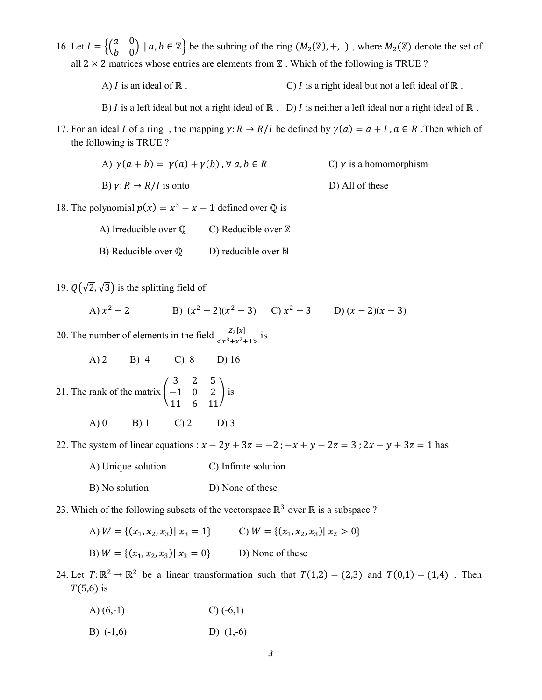- 16. Let  $I = \begin{pmatrix} a & 0 \\ b & 0 \end{pmatrix} \mid a, b \in \mathbb{Z}$  be the subring of the ring  $(M_2(\mathbb{Z}), +,.)$ , where  $M_2(\mathbb{Z})$  denote the set of all  $2 \times 2$  matrices whose entries are elements from  $\mathbb{Z}$ . Which of the following is TRUE ?
	- A) *I* is an ideal of ℝ . C) *I* is a right ideal but not a left ideal of ℝ .
	- B) *I* is a left ideal but not a right ideal of  $\mathbb{R}$ . D) *I* is neither a left ideal nor a right ideal of  $\mathbb{R}$ .
- 17. For an ideal *I* of a ring, the mapping  $\gamma: R \to R/I$  be defined by  $\gamma(a) = a + I$ ,  $a \in R$ . Then which of the following is TRUE ?
	- A)  $\gamma(a + b) = \gamma(a) + \gamma(b)$ ,  $\forall a, b \in R$  C)  $\gamma$  is a homomorphism
	- B)  $\gamma: R \to R/I$  is onto D) All of these
- 18. The polynomial  $p(x) = x^3 x 1$  defined over  $\mathbb Q$  is
	- A) Irreducible over  $\mathbb Q$  C) Reducible over  $\mathbb Z$
	- B) Reducible over  $\mathbb Q$  D) reducible over N
- 19.  $Q(\sqrt{2}, \sqrt{3})$  is the splitting field of

A) 
$$
x^2 - 2
$$
 \t B)  $(x^2 - 2)(x^2 - 3)$  C)  $x^2 - 3$  D)  $(x - 2)(x - 3)$ 

20. The number of elements in the field  $\frac{Z_2[x]}{x_1^3 + x_2^2}$  $\frac{z_{21}x_1}{(x^3+x^2+1)}$  is

A) 2 B) 4 C) 8 D) 16  
21. The rank of the matrix 
$$
\begin{pmatrix} 3 & 2 & 5 \\ -1 & 0 & 2 \\ 11 & 6 & 11 \end{pmatrix}
$$
 is  
A) 0 B) 1 C) 2 D) 3

22. The system of linear equations :  $x - 2y + 3z = -2$ ;  $-x + y - 2z = 3$ ;  $2x - y + 3z = 1$  has

- A) Unique solution C) Infinite solution
- B) No solution D) None of these
- 23. Which of the following subsets of the vectorspace  $\mathbb{R}^3$  over  $\mathbb R$  is a subspace ?

A)  $W = \{ (x_1, x_2, x_3) | x_3 = 1 \}$  C)  $W = \{ (x_1, x_2, x_3) | x_2 > 0 \}$ 

B)  $W = \{(x_1, x_2, x_3) | x_3 = 0\}$  D) None of these

24. Let  $T: \mathbb{R}^2 \to \mathbb{R}^2$  be a linear transformation such that  $T(1,2) = (2,3)$  and  $T(0,1) = (1,4)$ . Then  $T(5,6)$  is

- A)  $(6,-1)$  C)  $(-6,1)$
- B)  $(-1,6)$  D)  $(1,-6)$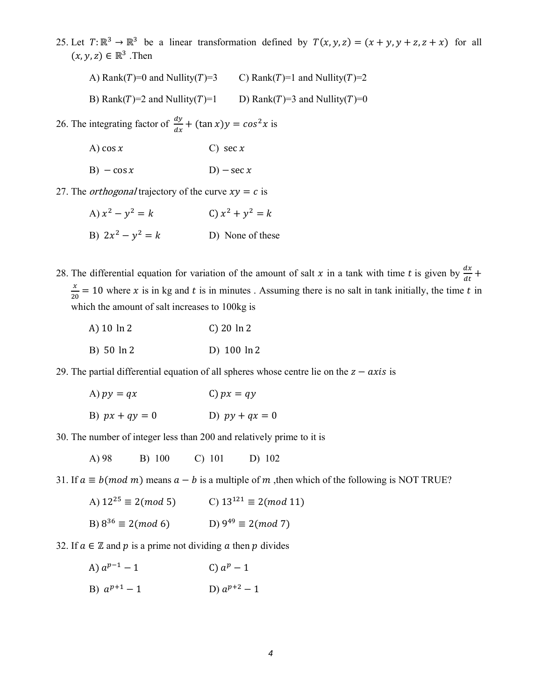25. Let  $T: \mathbb{R}^3 \to \mathbb{R}^3$  be a linear transformation defined by  $T(x, y, z) = (x + y, y + z, z + x)$  for all  $(x, y, z) \in \mathbb{R}^3$ . Then

A) Rank(T)=0 and Nullity(T)=3 C) Rank(T)=1 and Nullity(T)=2

B) Rank(T)=2 and Nullity(T)=1 D) Rank(T)=3 and Nullity(T)=0

26. The integrating factor of  $\frac{dy}{dx} + (\tan x)y = \cos^2 x$  is

A) cos  $x$  C) sec  $x$ 

B)  $-\cos x$  D)  $-\sec x$ 

27. The *orthogonal* trajectory of the curve  $xy = c$  is

A)  $x^2 - y^2$  $x^2 = k$  C)  $x^2 + y^2 = k$ B)  $2x^2 - y^2$ D) None of these

28. The differential equation for variation of the amount of salt x in a tank with time t is given by  $\frac{dx}{dt}$  +  $\boldsymbol{\chi}$  $\frac{x}{20}$  = 10 where x is in kg and t is in minutes. Assuming there is no salt in tank initially, the time t in which the amount of salt increases to 100kg is

| A) 10 ln 2 | $C$ ) 20 $\ln 2$ |
|------------|------------------|
| B) 50 ln 2 | D) $100 \ln 2$   |

29. The partial differential equation of all spheres whose centre lie on the  $z - axis$  is

| A) $py = qx$     | C) $px = qy$     |
|------------------|------------------|
| B) $px + qy = 0$ | D) $py + qx = 0$ |

30. The number of integer less than 200 and relatively prime to it is

A) 98 B) 100 C) 101 D) 102

31. If  $a \equiv b \pmod{m}$  means  $a - b$  is a multiple of m, then which of the following is NOT TRUE?

| A) $12^{25} \equiv 2 \pmod{5}$ | C) $13^{121} \equiv 2 \pmod{11}$ |
|--------------------------------|----------------------------------|
| B) $8^{36} \equiv 2 \pmod{6}$  | D) $9^{49} \equiv 2 \pmod{7}$    |

32. If  $a \in \mathbb{Z}$  and  $p$  is a prime not dividing  $a$  then  $p$  divides

- A)  $a^{p-1} 1$  C)  $a^p$  $\int a^p - 1$
- B)  $a^{p+1} 1$  D)  $a^p$ D)  $a^{p+2} - 1$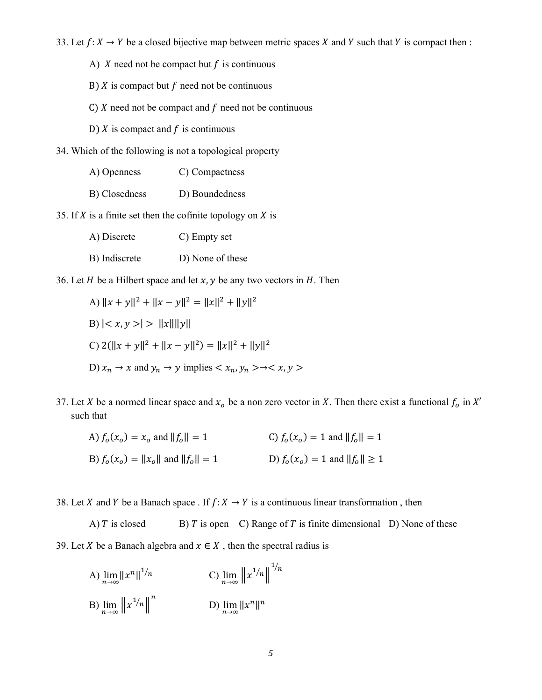33. Let  $f: X \to Y$  be a closed bijective map between metric spaces X and Y such that Y is compact then :

A)  $X$  need not be compact but  $f$  is continuous

B)  $X$  is compact but  $f$  need not be continuous

- C)  $X$  need not be compact and  $f$  need not be continuous
- D)  $X$  is compact and  $f$  is continuous

34. Which of the following is not a topological property

- A) Openness C) Compactness
- B) Closedness D) Boundedness
- 35. If  $X$  is a finite set then the cofinite topology on  $X$  is
	- A) Discrete C) Empty set
	- B) Indiscrete D) None of these

36. Let  $H$  be a Hilbert space and let  $x, y$  be any two vectors in  $H$ . Then

- A)  $||x + y||^2 + ||x y||^2 = ||x||^2 + ||y||^2$ B)  $|< x, y >| > ||x|| ||y||$ C)  $2(||x + y||^2 + ||x - y||^2) = ||x||^2 + ||y||^2$ D)  $x_n \to x$  and  $y_n \to y$  implies  $\langle x_n, y_n \rangle \to \langle x, y \rangle$
- 37. Let X be a normed linear space and  $x_0$  be a non zero vector in X. Then there exist a functional  $f_0$  in X' such that

| A) $f_0(x_0) = x_0$ and $  f_0   = 1$     | C) $f_o(x_o) = 1$ and $  f_o   = 1$   |
|-------------------------------------------|---------------------------------------|
| B) $f_0(x_o) =   x_o  $ and $  f_0   = 1$ | D) $f_0(x_o) = 1$ and $  f_0   \ge 1$ |

38. Let X and Y be a Banach space . If  $f: X \to Y$  is a continuous linear transformation, then

A)  $T$  is closed B)  $T$  is open C) Range of  $T$  is finite dimensional D) None of these 39. Let X be a Banach algebra and  $x \in X$ , then the spectral radius is

A)  $\lim_{n\to\infty} ||x^n||^2$ <sup>1</sup>/<sub>n</sub> C)  $\lim_{n\to\infty} ||x^{1/n}||^{1/n}$ B)  $\lim_{n\to\infty} \|x^{1/n}\|$ <sup>n</sup> D)  $\lim_{n\to\infty} ||x^n||^n$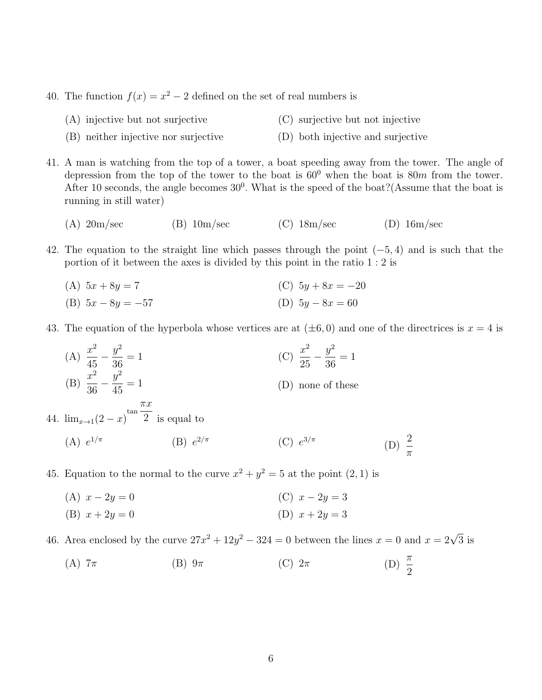- 40. The function  $f(x) = x^2 2$  defined on the set of real numbers is
	- (A) injective but not surjective (C) surjective but not injective
	- (B) neither injective nor surjective (D) both injective and surjective
- 41. A man is watching from the top of a tower, a boat speeding away from the tower. The angle of depression from the top of the tower to the boat is  $60^0$  when the boat is  $80m$  from the tower. After 10 seconds, the angle becomes  $30^0$ . What is the speed of the boat?(Assume that the boat is running in still water)
	- (A)  $20m/sec$  (B)  $10m/sec$  (C)  $18m/sec$  (D)  $16m/sec$
- 42. The equation to the straight line which passes through the point  $(-5, 4)$  and is such that the portion of it between the axes is divided by this point in the ratio 1 : 2 is
	- $(A)$  5x + 8y = 7 (B)  $5x - 8y = -57$ (C)  $5y + 8x = -20$ (D)  $5y - 8x = 60$
- 43. The equation of the hyperbola whose vertices are at  $(\pm 6, 0)$  and one of the directrices is  $x = 4$  is
	- $(A) \frac{x^2}{45}$ 45  $-\frac{y^2}{2g}$ 36  $= 1$  $(B) \frac{x^2}{2}$ 36  $-\frac{y^2}{45}$ 45  $= 1$  $(C) \frac{x^2}{25}$ 25  $-\frac{y^2}{2g}$ 36  $= 1$ (D) none of these
- 44.  $\lim_{x\to 1}(2-x)^{\tan \frac{\pi x}{2}}$ 2 is equal to
	- $(A) e^{1/\pi}$ (B)  $e^{2/\pi}$  $(C) e^{3/\pi}$  $3/\pi$  (D)  $\frac{2}{\pi}$ π
- 45. Equation to the normal to the curve  $x^2 + y^2 = 5$  at the point  $(2, 1)$  is
	- (A)  $x 2y = 0$ (B)  $x + 2y = 0$ (C)  $x - 2y = 3$ (D)  $x + 2y = 3$
- 46. Area enclosed by the curve  $27x^2 + 12y^2 324 = 0$  between the lines  $x = 0$  and  $x = 2\sqrt{3}$  is
	- (A) 7 $\pi$  (B)  $9\pi$  (C)  $2\pi$  (D)  $\frac{\pi}{2}$ (D)  $\frac{\pi}{2}$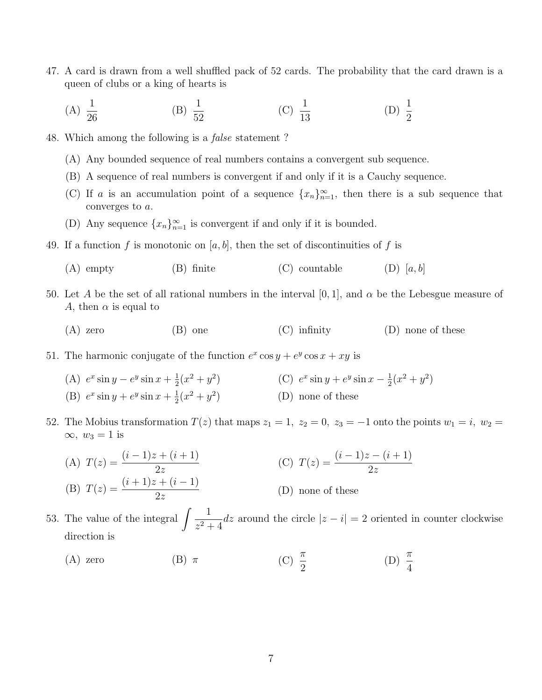- 47. A card is drawn from a well shuffled pack of 52 cards. The probability that the card drawn is a queen of clubs or a king of hearts is
	- $(A) \frac{1}{\infty}$ 26  $(B) \frac{1}{56}$ 52  $(C) \frac{1}{16}$ 13  $(D) \frac{1}{2}$ 2
- 48. Which among the following is a false statement ?
	- (A) Any bounded sequence of real numbers contains a convergent sub sequence.
	- (B) A sequence of real numbers is convergent if and only if it is a Cauchy sequence.
	- (C) If a is an accumulation point of a sequence  $\{x_n\}_{n=1}^{\infty}$ , then there is a sub sequence that converges to a.
	- (D) Any sequence  $\{x_n\}_{n=1}^{\infty}$  is convergent if and only if it is bounded.
- 49. If a function f is monotonic on  $[a, b]$ , then the set of discontinuities of f is
	- (A) empty  $(B)$  finite  $(C)$  countable  $(D)$  [a, b]
- 50. Let A be the set of all rational numbers in the interval [0, 1], and  $\alpha$  be the Lebesgue measure of A, then  $\alpha$  is equal to
	- $(A)$  zero  $(B)$  one  $(C)$  infinity  $(D)$  none of these
- 51. The harmonic conjugate of the function  $e^x \cos y + e^y \cos x + xy$  is
	- (A)  $e^x \sin y e^y \sin x + \frac{1}{2}$  $\frac{1}{2}(x^2 + y^2)$  (C)  $e^x \sin y + e^y \sin x - \frac{1}{2}$ (B)  $e^x \sin y + e^y \sin x + \frac{1}{2}$  $\frac{1}{2}(x^2+y^2)$  $\frac{1}{2}(x^2+y^2)$ (D) none of these
- 52. The Mobius transformation  $T(z)$  that maps  $z_1 = 1$ ,  $z_2 = 0$ ,  $z_3 = -1$  onto the points  $w_1 = i$ ,  $w_2 =$  $\infty$ ,  $w_3 = 1$  is
	- (A)  $T(z) = \frac{(i-1)z + (i+1)}{2}$  $2z$ (B)  $T(z) = \frac{(i+1)z + (i-1)}{2}$  $2z$ (C)  $T(z) = \frac{(i-1)z - (i+1)}{2}$  $2z$ (D) none of these
- 53. The value of the integral  $\left(\frac{1}{2}\right)$  $z^2 + 4$ dz around the circle  $|z - i| = 2$  oriented in counter clockwise direction is
	- (A) zero (B)  $\pi$  (C)  $\frac{\pi}{2}$ 2  $(D) \frac{\pi}{4}$ 4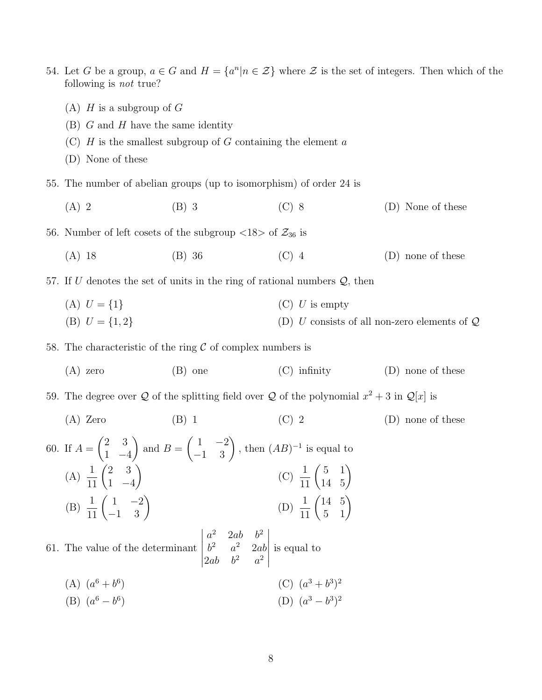- 54. Let G be a group,  $a \in G$  and  $H = \{a^n | n \in \mathcal{Z}\}\$  where  $\mathcal Z$  is the set of integers. Then which of the following is not true?
	- (A)  $H$  is a subgroup of  $G$
	- $(B)$  G and H have the same identity
	- $(C)$  H is the smallest subgroup of G containing the element a
	- (D) None of these
- 55. The number of abelian groups (up to isomorphism) of order 24 is
	- (A) 2 (B) 3 (C) 8 (D) None of these
- 56. Number of left cosets of the subgroup  $\langle 18 \rangle$  of  $\mathcal{Z}_{36}$  is
	- (A) 18 (B) 36 (C) 4 (D) none of these
- 57. If  $U$  denotes the set of units in the ring of rational numbers  $Q$ , then
	- (A)  $U = \{1\}$ (B)  $U = \{1, 2\}$  $(C)$  U is empty (D) U consists of all non-zero elements of  $\mathcal{Q}$
- 58. The characteristic of the ring  $\mathcal C$  of complex numbers is
	- $(A)$  zero  $(B)$  one  $(C)$  infinity  $(D)$  none of these

59. The degree over Q of the splitting field over Q of the polynomial  $x^2 + 3$  in  $\mathcal{Q}[x]$  is

(A) Zero  $(B)$  1 (C) 2 (D) none of these

60. If 
$$
A = \begin{pmatrix} 2 & 3 \ 1 & -4 \end{pmatrix}
$$
 and  $B = \begin{pmatrix} 1 & -2 \ -1 & 3 \end{pmatrix}$ , then  $(AB)^{-1}$  is equal to  
\n(A)  $\frac{1}{11} \begin{pmatrix} 2 & 3 \ 1 & -4 \end{pmatrix}$   
\n(B)  $\frac{1}{11} \begin{pmatrix} 1 & -2 \ -1 & 3 \end{pmatrix}$   
\n(C)  $\frac{1}{11} \begin{pmatrix} 5 & 1 \ 14 & 5 \end{pmatrix}$   
\n(D)  $\frac{1}{11} \begin{pmatrix} 14 & 5 \ 5 & 1 \end{pmatrix}$ 

61. The value of the determinant  $a^2$  2ab  $b^2$  $b^2$   $a^2$   $2ab$  $2ab$   $b^2$   $a^2$  is equal to

- (A)  $(a^6 + b^6)$ (C)  $(a^3 + b^3)^2$
- (B)  $(a^6 b^6)$ (D)  $(a^3-b^3)^2$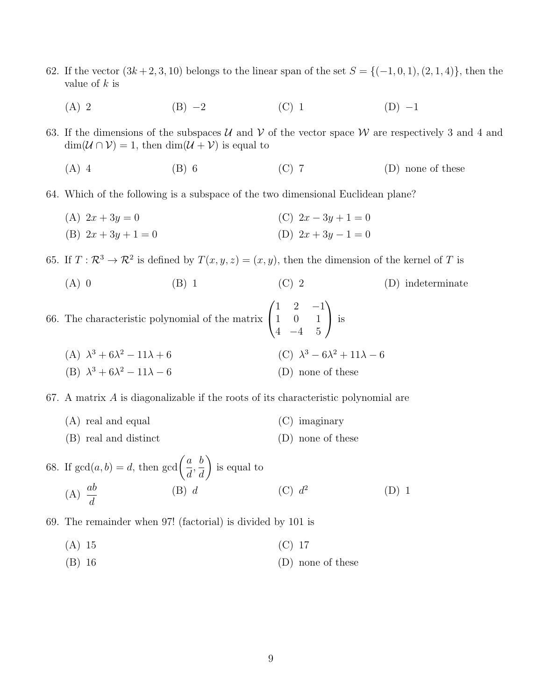- 62. If the vector  $(3k + 2, 3, 10)$  belongs to the linear span of the set  $S = \{(-1, 0, 1), (2, 1, 4)\}\$ , then the value of  $k$  is
	- (A) 2 (B) −2 (C) 1 (D) −1
- 63. If the dimensions of the subspaces  $U$  and  $V$  of the vector space W are respectively 3 and 4 and  $\dim(\mathcal{U} \cap \mathcal{V}) = 1$ , then  $\dim(\mathcal{U} + \mathcal{V})$  is equal to
	- $(A)$  4 (B) 6 (C) 7 (D) none of these
- 64. Which of the following is a subspace of the two dimensional Euclidean plane?
	- (A)  $2x + 3y = 0$ (B)  $2x + 3y + 1 = 0$ (C)  $2x - 3y + 1 = 0$ (D)  $2x + 3y - 1 = 0$
- 65. If  $T: \mathbb{R}^3 \to \mathbb{R}^2$  is defined by  $T(x, y, z) = (x, y)$ , then the dimension of the kernel of T is
	- (A) 0  $(B)$  1  $(C)$  2  $(D)$  indeterminate
- 66. The characteristic polynomial of the matrix  $\sqrt{ }$  $\overline{1}$ 1 2 −1 1 0 1  $4 -4 5$  $\setminus$  is
	- (A)  $\lambda^3 + 6\lambda^2 11\lambda + 6$ (B)  $\lambda^3 + 6\lambda^2 - 11\lambda - 6$ (C)  $\lambda^3 - 6\lambda^2 + 11\lambda - 6$ (D) none of these
- 67. A matrix  $\vec{A}$  is diagonalizable if the roots of its characteristic polynomial are
	- (A) real and equal (C) imaginary
	- (B) real and distinct (D) none of these

## 68. If  $gcd(a, b) = d$ , then  $gcd\left(\frac{a}{b}\right)$ d , b d  $\setminus$ is equal to  $(A) \frac{ab}{a}$ d  $(B) d$  $(C)$   $d^2$ (D) 1

- 69. The remainder when 97! (factorial) is divided by 101 is
	- (A) 15 (C) 17
	- (B) 16 (D) none of these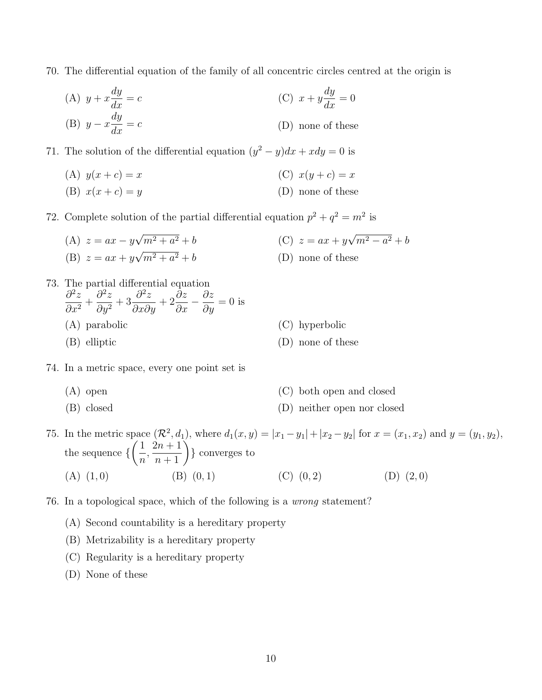70. The differential equation of the family of all concentric circles centred at the origin is

(A) 
$$
y + x \frac{dy}{dx} = c
$$
  
\n(B)  $y - x \frac{dy}{dx} = c$   
\n(C)  $x + y \frac{dy}{dx} = 0$   
\n(D) none of these

71. The solution of the differential equation  $(y^2 - y)dx + xdy = 0$  is

(A) 
$$
y(x + c) = x
$$
 (C)  $x(y + c) = x$ 

(B) 
$$
x(x+c) = y
$$
 (D) none of these

72. Complete solution of the partial differential equation  $p^2 + q^2 = m^2$  is

- $(A) z = ax y$ √  $m^2 + a^2 + b$  $(B) z = ax + y$ √  $m^2 + a^2 + b$  $(C)$   $z = ax + y$ √  $\sqrt{m^2 - a^2} + b$ (D) none of these
- 73. The partial differential equation  $\partial^2 z$  $\frac{\partial}{\partial x^2} +$  $\partial^2 z$  $rac{\delta}{\partial y^2} + 3$  $\partial^2 z$  $\frac{\partial}{\partial x \partial y} + 2$  $\frac{\partial z}{\partial x} - \frac{\partial z}{\partial y}$  $rac{\partial z}{\partial y} = 0$  is (A) parabolic (B) elliptic (C) hyperbolic (D) none of these
- 74. In a metric space, every one point set is
	- (A) open (C) both open and closed
	- (B) closed

(D) neither open nor closed

75. In the metric space  $(\mathcal{R}^2, d_1)$ , where  $d_1(x, y) = |x_1 - y_1| + |x_2 - y_2|$  for  $x = (x_1, x_2)$  and  $y = (y_1, y_2)$ , the sequence {  $\sqrt{1}$ n ,  $\frac{2n+1}{n+1}$ } converges to (A)  $(1, 0)$  (B)  $(0, 1)$  (C)  $(0, 2)$  (D)  $(2, 0)$ 

76. In a topological space, which of the following is a wrong statement?

- (A) Second countability is a hereditary property
- (B) Metrizability is a hereditary property
- (C) Regularity is a hereditary property
- (D) None of these